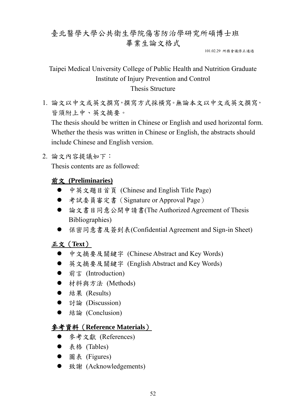# 臺北醫學大學公共衛生學院傷害防治學研究所碩博士班 畢業生論文格式

101.02.29 所務會議修正通過

## Taipei Medical University College of Public Health and Nutrition Graduate Institute of Injury Prevention and Control Thesis Structure

1. 論文以中文或英文撰寫,撰寫方式採橫寫。無論本文以中文或英文撰寫, 皆須附上中、英文摘要。

The thesis should be written in Chinese or English and used horizontal form. Whether the thesis was written in Chinese or English, the abstracts should include Chinese and English version.

### 2. 論文內容提議如下:

Thesis contents are as followed:

### 前文 **(Preliminaries)**

- 中英文題目首頁 (Chinese and English Title Page)
- 考試委員審定書 (Signature or Approval Page)
- 論文書目同意公開申請書(The Authorized Agreement of Thesis Bibliographies)
- 保密同意書及簽到表(Confidential Agreement and Sign-in Sheet)

### 正文(**Text**)

- 中文摘要及關鍵字 (Chinese Abstract and Key Words)
- 英文摘要及關鍵字 (English Abstract and Key Words)
- 前言 (Introduction)
- 材料與方法 (Methods)
- 結果 (Results)
- 討論 (Discussion)
- 結論 (Conclusion)

### 參考資料(**Reference Materials**)

- 參考文獻 (References)
- 表格 (Tables)
- 圖表 (Figures)
- 致謝 (Acknowledgements)